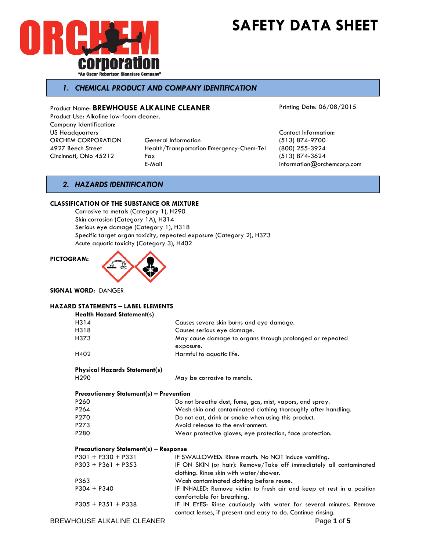



# *1. CHEMICAL PRODUCT AND COMPANY IDENTIFICATION*

Product Name: **BREWHOUSE ALKALINE CLEANER** Product Use: Alkaline low-foam cleaner. Company Identification: US Headquarters Contact Information: ORCHEM CORPORATION General Information (513) 874-9700 4927 Beech Street Health/Transportation Emergency-Chem-Tel (800) 255-3924 Cincinnati, Ohio 45212 Fax (513) 874-3624

Printing Date: 06/08/2015

 $information@orchemcorp.com$ 

## *2. HAZARDS IDENTIFICATION*

#### **CLASSIFICATION OF THE SUBSTANCE OR MIXTURE**

Corrosive to metals (Category 1), H290 Skin corrosion (Category 1A), H314 Serious eye damage (Category 1), H318 Specific target organ toxicity, repeated exposure (Category 2), H373 Acute aquatic toxicity (Category 3), H402



**SIGNAL WORD:** DANGER

#### **HAZARD STATEMENTS – LABEL ELEMENTS**

| <b>Health Hazard Statement(s)</b>              |                                                                                                                                     |  |  |  |
|------------------------------------------------|-------------------------------------------------------------------------------------------------------------------------------------|--|--|--|
| H314                                           | Causes severe skin burns and eye damage.                                                                                            |  |  |  |
| H318                                           | Causes serious eye damage.                                                                                                          |  |  |  |
| H373                                           | May cause damage to organs through prolonged or repeated<br>exposure.                                                               |  |  |  |
| H402                                           | Harmful to aquatic life.                                                                                                            |  |  |  |
| <b>Physical Hazards Statement(s)</b>           |                                                                                                                                     |  |  |  |
| H <sub>290</sub>                               | May be corrosive to metals.                                                                                                         |  |  |  |
| <b>Precautionary Statement(s) - Prevention</b> |                                                                                                                                     |  |  |  |
| P <sub>260</sub>                               | Do not breathe dust, fume, gas, mist, vapors, and spray.                                                                            |  |  |  |
| P264                                           | Wash skin and contaminated clothing thoroughly after handling.                                                                      |  |  |  |
| P270                                           | Do not eat, drink or smoke when using this product.                                                                                 |  |  |  |
| P273                                           | Avoid release to the environment.                                                                                                   |  |  |  |
| P280                                           | Wear protective gloves, eye protection, face protection.                                                                            |  |  |  |
| <b>Precautionary Statement(s) - Response</b>   |                                                                                                                                     |  |  |  |
| $P301 + P330 + P331$                           | IF SWALLOWED: Rinse mouth. No NOT induce vomiting.                                                                                  |  |  |  |
| $P303 + P361 + P353$                           | IF ON SKIN (or hair): Remove/Take off immediately all contaminated<br>clothing. Rinse skin with water/shower.                       |  |  |  |
| P363                                           | Wash contaminated clothing before reuse.                                                                                            |  |  |  |
| $P304 + P340$                                  | IF INHALED: Remove victim to fresh air and keep at rest in a position<br>comfortable for breathing.                                 |  |  |  |
| $P305 + P351 + P338$                           | IF IN EYES: Rinse cautiously with water for several minutes. Remove<br>contact lenses, if present and easy to do. Continue rinsing. |  |  |  |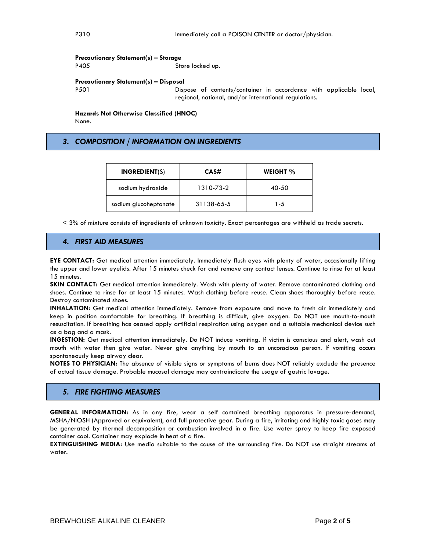#### **Precautionary Statement(s) – Storage**

P405 Store locked up.

#### **Precautionary Statement(s) – Disposal**

P501 Dispose of contents/container in accordance with applicable local, regional, national, and/or international regulations.

**Hazards Not Otherwise Classified (HNOC)** None.

### *3. COMPOSITION / INFORMATION ON INGREDIENTS*

| <b>INGREDIENT(S)</b>  | CAS#       | WEIGHT % |  |
|-----------------------|------------|----------|--|
| sodium hydroxide      | 1310-73-2  | 40-50    |  |
| sodium glucoheptonate | 31138-65-5 | 1-5      |  |

< 3% of mixture consists of ingredients of unknown toxicity. Exact percentages are withheld as trade secrets.

### *4. FIRST AID MEASURES*

**EYE CONTACT:** Get medical attention immediately. Immediately flush eyes with plenty of water, occasionally lifting the upper and lower eyelids. After 15 minutes check for and remove any contact lenses. Continue to rinse for at least 15 minutes.

**SKIN CONTACT:** Get medical attention immediately. Wash with plenty of water. Remove contaminated clothing and shoes. Continue to rinse for at least 15 minutes. Wash clothing before reuse. Clean shoes thoroughly before reuse. Destroy contaminated shoes.

**INHALATION:** Get medical attention immediately. Remove from exposure and move to fresh air immediately and keep in position comfortable for breathing. If breathing is difficult, give oxygen. Do NOT use mouth-to-mouth resuscitation. If breathing has ceased apply artificial respiration using oxygen and a suitable mechanical device such as a bag and a mask.

**INGESTION:** Get medical attention immediately. Do NOT induce vomiting. If victim is conscious and alert, wash out mouth with water then give water. Never give anything by mouth to an unconscious person. If vomiting occurs spontaneously keep airway clear.

**NOTES TO PHYSICIAN:** The absence of visible signs or symptoms of burns does NOT reliably exclude the presence of actual tissue damage. Probable mucosal damage may contraindicate the usage of gastric lavage.

## *5. FIRE FIGHTING MEASURES*

**GENERAL INFORMATION:** As in any fire, wear a self contained breathing apparatus in pressure-demand, MSHA/NIOSH (Approved or equivalent), and full protective gear. During a fire, irritating and highly toxic gases may be generated by thermal decomposition or combustion involved in a fire. Use water spray to keep fire exposed container cool. Container may explode in heat of a fire.

**EXTINGUISHING MEDIA:** Use media suitable to the cause of the surrounding fire. Do NOT use straight streams of water.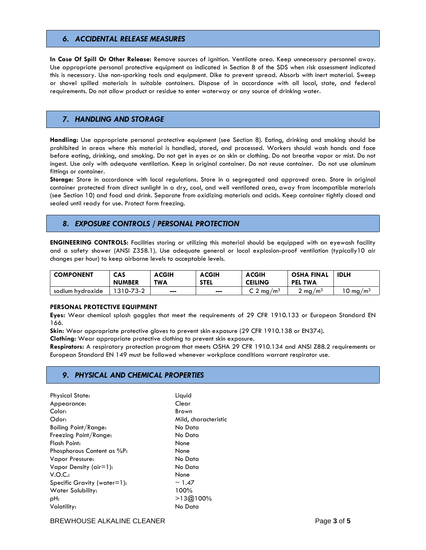#### *6. ACCIDENTAL RELEASE MEASURES*

**In Case Of Spill Or Other Release:** Remove sources of ignition. Ventilate area. Keep unnecessary personnel away. Use appropriate personal protective equipment as indicated in Section 8 of the SDS when risk assessment indicated this is necessary. Use non-sparking tools and equipment. Dike to prevent spread. Absorb with inert material. Sweep or shovel spilled materials in suitable containers. Dispose of in accordance with all local, state, and federal requirements. Do not allow product or residue to enter waterway or any source of drinking water.

## *7. HANDLING AND STORAGE*

**Handling:** Use appropriate personal protective equipment (see Section 8). Eating, drinking and smoking should be prohibited in areas where this material is handled, stored, and processed. Workers should wash hands and face before eating, drinking, and smoking. Do not get in eyes or on skin or clothing. Do not breathe vapor or mist. Do not ingest. Use only with adequate ventilation. Keep in original container. Do not reuse container. Do not use aluminum fittings or container.

**Storage:** Store in accordance with local regulations. Store in a segregated and approved area. Store in original container protected from direct sunlight in a dry, cool, and well ventilated area, away from incompatible materials (see Section 10) and food and drink. Separate from oxidizing materials and acids. Keep container tightly closed and sealed until ready for use. Protect form freezing.

## *8. EXPOSURE CONTROLS / PERSONAL PROTECTION*

**ENGINEERING CONTROLS:** Facilities storing or utilizing this material should be equipped with an eyewash facility and a safety shower (ANSI Z358.1). Use adequate general or local explosion-proof ventilation (typically10 air changes per hour) to keep airborne levels to acceptable levels.

| <b>COMPONENT</b> | CAS<br><b>NUMBER</b> | <b>ACGIH</b><br><b>TWA</b> | <b>ACGIH</b><br><b>STEL</b>  | <b>ACGIH</b><br><b>CEILING</b>   | <b>OSHA FINAL</b><br>TWA<br><b>PEL</b> | <b>IDLH</b>         |
|------------------|----------------------|----------------------------|------------------------------|----------------------------------|----------------------------------------|---------------------|
| sodium hydroxide | $310 - 73 - 2$       | ---                        | $\qquad \qquad \blacksquare$ | $\angle$ mg/r<br>⁄m <sup>3</sup> | mg/m <sup>3</sup>                      | $.0 \text{ mg/m}^3$ |

#### **PERSONAL PROTECTIVE EQUIPMENT**

**Eyes:** Wear chemical splash goggles that meet the requirements of 29 CFR 1910.133 or European Standard EN 166.

**Skin:** Wear appropriate protective gloves to prevent skin exposure (29 CFR 1910.138 or EN374).

**Clothing:** Wear appropriate protective clothing to prevent skin exposure.

**Respirators:** A respiratory protection program that meets OSHA 29 CFR 1910.134 and ANSI Z88.2 requirements or European Standard EN 149 must be followed whenever workplace conditions warrant respirator use.

## *9. PHYSICAL AND CHEMICAL PROPERTIES*

Physical State: Liquid Appearance: Clear Color: Brown Odor: Mild, characteristic Boiling Point/Range: No Data Freezing Point/Range: No Data Flash Point: None Phosphorous Content as %P: None Vapor Pressure: No Data Vapor Density (air=1): No Data V.O.C.: None Specific Gravity (water=1):  $\sim 1.47$ <br>Water Solubility: 100% Water Solubility: pH: >13@100% Volatility: No Data

BREWHOUSE ALKALINE CLEANER **FOULD ASSESSED ASSESSED ASSESSED.** Page 3 of 5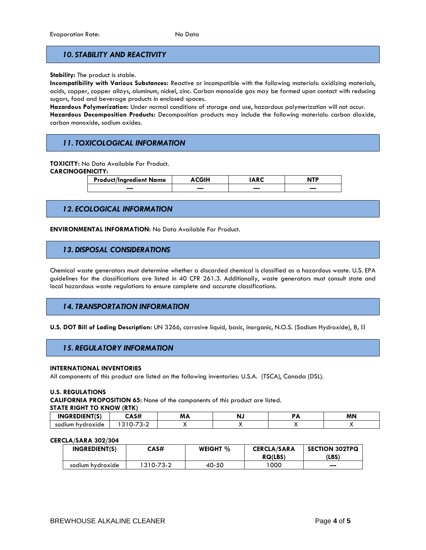# *10. STABILITY AND REACTIVITY*

**Stability:** The product is stable.

**Incompatibility with Various Substances:** Reactive or incompatible with the following materials: oxidizing materials, acids, copper, copper alloys, aluminum, nickel, zinc. Carbon monoxide gas may be formed upon contact with reducing sugars, food and beverage products in enclosed spaces.

**Hazardous Polymerization:** Under normal conditions of storage and use, hazardous polymerization will not occur. **Hazardous Decomposition Products:** Decomposition products may include the following materials: carbon dioxide, carbon monoxide, sodium oxides.

# *11. TOXICOLOGICAL INFORMATION*

**TOXICITY:** No Data Available For Product.

**CARCINOGENICITY:**

| <b>Product/Ingredient Name</b> | <b>ACGIH</b> | <b>ARC</b> |     |
|--------------------------------|--------------|------------|-----|
| ---                            | ---          | ---        | --- |

### *12. ECOLOGICAL INFORMATION*

**ENVIRONMENTAL INFORMATION:** No Data Available For Product.

### *13. DISPOSAL CONSIDERATIONS*

Chemical waste generators must determine whether a discarded chemical is classified as a hazardous waste. U.S. EPA guidelines for the classifications are listed in 40 CFR 261.3. Additionally, waste generators must consult state and local hazardous waste regulations to ensure complete and accurate classifications.

## *14. TRANSPORTATION INFORMATION*

**U.S. DOT Bill of Lading Description:** UN 3266, corrosive liquid, basic, inorganic, N.O.S. (Sodium Hydroxide), 8, II

## *15. REGULATORY INFORMATION*

#### **INTERNATIONAL INVENTORIES**

All components of this product are listed on the following inventories: U.S.A. (TSCA), Canada (DSL).

#### **U.S. REGULATIONS**

**CALIFORNIA PROPOSITION 65:** None of the components of this product are listed.

#### **STATE RIGHT TO KNOW (RTK)**

| INGREDIENT(S)            | $\cdots$<br>-ASH                                      | AA.<br>,,, | N. | ΜN |
|--------------------------|-------------------------------------------------------|------------|----|----|
| ardroxide i ∴ardi<br>iım | $\sim$ $\sim$<br>.<br>$\cdot$ $\cdot$ $\cdot$ $\cdot$ |            |    |    |

#### **CERCLA/SARA 302/304**

| INGREDIENT(S)    | CAS#      | WEIGHT $\%$ | <b>CERCLA/SARA</b><br><b>RQ(LBS)</b> | <b>SECTION 302TPQ</b><br>(LBS) |
|------------------|-----------|-------------|--------------------------------------|--------------------------------|
| sodium hydroxide | 1310-73-2 | 40-50       | 1000                                 | ---                            |